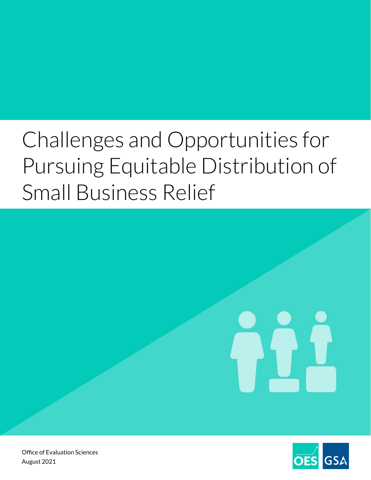# Challenges and Opportunities for Pursuing Equitable Distribution of Small Business Relief



Office of Evaluation Sciences August 2021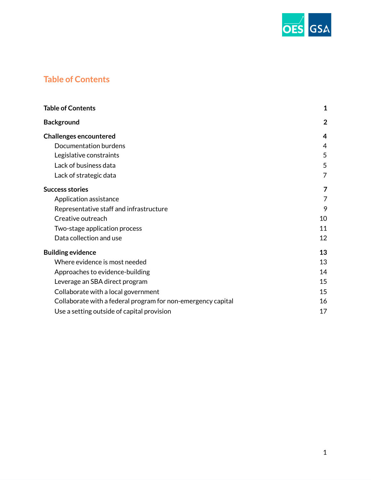

# **Table of Contents**

| <b>Table of Contents</b>                                     | $\mathbf{1}$   |
|--------------------------------------------------------------|----------------|
| <b>Background</b>                                            | $\overline{2}$ |
| <b>Challenges encountered</b>                                | 4              |
| Documentation burdens                                        | 4              |
| Legislative constraints                                      | 5              |
| Lack of business data                                        | 5              |
| Lack of strategic data                                       | 7              |
| <b>Success stories</b>                                       | 7              |
| Application assistance                                       | 7              |
| Representative staff and infrastructure                      | 9              |
| Creative outreach                                            | 10             |
| Two-stage application process                                | 11             |
| Data collection and use                                      | 12             |
| <b>Building evidence</b>                                     | 13             |
| Where evidence is most needed                                | 13             |
| Approaches to evidence-building                              | 14             |
| Leverage an SBA direct program                               | 15             |
| Collaborate with a local government                          | 15             |
| Collaborate with a federal program for non-emergency capital | 16             |
| Use a setting outside of capital provision                   | 17             |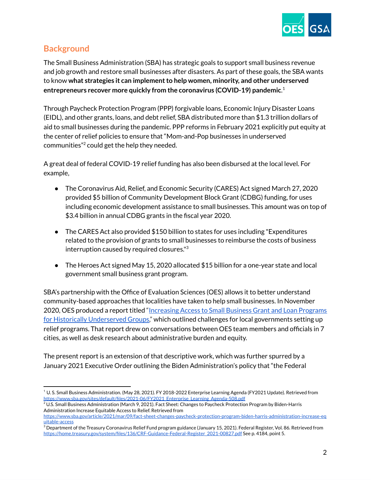

# **Background**

The Small Business Administration (SBA) has strategic goals to support small business revenue and job growth and restore small businesses after disasters. As part of these goals, the SBA wants to know **what strategies it can implementto help women, minority, and other underserved entrepreneurs recover more quickly from the coronavirus (COVID-19) pandemic**. 1

Through Paycheck Protection Program (PPP) forgivable loans, Economic Injury Disaster Loans (EIDL), and other grants, loans, and debt relief, SBA distributed more than \$1.3 trillion dollars of aid to small businesses during the pandemic. PPP reforms in February 2021 explicitly put equity at the center of relief policies to ensure that "Mom-and-Pop businesses in underserved communities" <sup>2</sup> could get the help they needed.

A great deal of federal COVID-19 relief funding has also been disbursed at the local level. For example,

- The Coronavirus Aid, Relief, and Economic Security (CARES) Act signed March 27, 2020 provided \$5 billion of Community Development Block Grant (CDBG) funding, for uses including economic development assistance to small businesses. This amount was on top of \$3.4 billion in annual CDBG grants in the fiscal year 2020.
- The CARES Act also provided \$150 billion to states for uses including "Expenditures" related to the provision of grants to small businesses to reimburse the costs of business interruption caused by required closures." 3
- The Heroes Act signed May 15, 2020 allocated \$15 billion for a one-year state and local government small business grant program.

SBA's partnership with the Office of Evaluation Sciences (OES) allows it to better understand community-based approaches that localities have taken to help small businesses. In November 2020, OES produced a report titled "[Increasing](https://oes.gsa.gov/collaborations/sba-grant-equity/) Access to Small Business Grant and Loan Programs for Historically [Underserved](https://oes.gsa.gov/collaborations/sba-grant-equity/) Groups," which outlined challenges for local governments setting up relief programs. That report drew on conversations between OES team members and officials in 7 cities, as well as desk research about administrative burden and equity.

The present report is an extension of that descriptive work, which was further spurred by a January 2021 Executive Order outlining the Biden Administration's policy that "the Federal

<sup>1</sup> U. S. Small Business Administration. (May 28, 2021). FY 2018-2022 Enterprise Learning Agenda (FY2021 Update). Retrieved from [https://www.sba.gov/sites/default/files/2021-06/FY2021\\_Enterprise\\_Learning\\_Agenda-508.pdf](https://www.sba.gov/sites/default/files/2021-06/FY2021_Enterprise_Learning_Agenda-508.pdf)

 $2 \text{ U.S.}$  Small Business Administration (March 9, 2021). Fact Sheet: Changes to Paycheck Protection Program by Biden-Harris Administration Increase Equitable Access to Relief. Retrieved from

[https://www.sba.gov/article/2021/mar/09/fact-sheet-changes-paycheck-protection-program-biden-harris-administration-increase-eq](https://www.sba.gov/article/2021/mar/09/fact-sheet-changes-paycheck-protection-program-biden-harris-administration-increase-equitable-access) [uitable-access](https://www.sba.gov/article/2021/mar/09/fact-sheet-changes-paycheck-protection-program-biden-harris-administration-increase-equitable-access)

 $3$  Department of the Treasury Coronavirus Relief Fund program guidance (January 15, 2021). Federal Register, Vol. 86. Retrieved from [https://home.treasury.gov/system/files/136/CRF-Guidance-Federal-Register\\_2021-00827.pdf](https://home.treasury.gov/system/files/136/CRF-Guidance-Federal-Register_2021-00827.pdf) See p. 4184, point 5.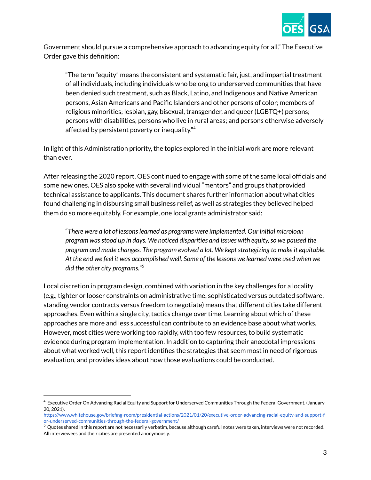

Government should pursue a comprehensive approach to advancing equity for all." The Executive Order gave this definition:

"The term "equity" means the consistent and systematic fair, just, and impartial treatment of all individuals, including individuals who belong to underserved communities that have been denied such treatment, such as Black, Latino, and Indigenous and Native American persons, Asian Americans and Pacific Islanders and other persons of color; members of religious minorities; lesbian, gay, bisexual, transgender, and queer (LGBTQ+) persons; persons with disabilities; persons who live in rural areas; and persons otherwise adversely affected by persistent poverty or inequality." 4

In light of this Administration priority, the topics explored in the initial work are more relevant than ever.

After releasing the 2020 report, OES continued to engage with some of the same local officials and some new ones. OES also spoke with several individual "mentors" and groups that provided technical assistance to applicants. This document shares further information about what cities found challenging in disbursing small business relief, as well as strategies they believed helped them do so more equitably. For example, one local grants administrator said:

"*There were a lot of lessonslearned as programs were implemented. Our initial microloan program wasstood up in days. We noticed disparities and issues with equity,so we paused the program and made changes. The program evolved a lot. We keptstrategizing to make it equitable.* At the end we feel it was accomplished well. Some of the lessons we learned were used when we *did the other city programs.*" 5

Local discretion in program design, combined with variation in the key challenges for a locality (e.g., tighter or looser constraints on administrative time, sophisticated versus outdated software, standing vendor contracts versus freedom to negotiate) means that different cities take different approaches. Even within a single city, tactics change over time. Learning about which of these approaches are more and less successful can contribute to an evidence base about what works. However, most cities were working too rapidly, with too few resources, to build systematic evidence during program implementation. In addition to capturing their anecdotal impressions about what worked well, this report identifies the strategies that seem most in need of rigorous evaluation, and provides ideas about how those evaluations could be conducted.

 $^4$  Executive Order On Advancing Racial Equity and Support for Underserved Communities Through the Federal Government. (January 20, 2021).

[https://www.whitehouse.gov/briefing-room/presidential-actions/2021/01/20/executive-order-advancing-racial-equity-and-support-f](https://www.whitehouse.gov/briefing-room/presidential-actions/2021/01/20/executive-order-advancing-racial-equity-and-support-for-underserved-communities-through-the-federal-government/) [or-underserved-communities-through-the-federal-government/](https://www.whitehouse.gov/briefing-room/presidential-actions/2021/01/20/executive-order-advancing-racial-equity-and-support-for-underserved-communities-through-the-federal-government/)

 $5$  Quotes shared in this report are not necessarily verbatim, because although careful notes were taken, interviews were not recorded. All interviewees and their cities are presented anonymously.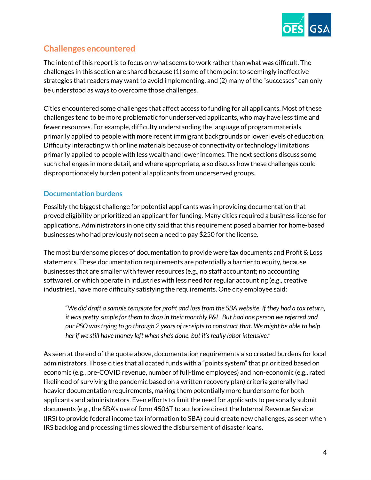

# **Challenges encountered**

The intent of this report is to focus on what seems to work rather than what was difficult. The challenges in this section are shared because (1) some of them point to seemingly ineffective strategies that readers may want to avoid implementing, and (2) many of the "successes" can only be understood as ways to overcome those challenges.

Cities encountered some challenges that affect access to funding for all applicants. Most of these challenges tend to be more problematic for underserved applicants, who may have less time and fewer resources. For example, difficulty understanding the language of program materials primarily applied to people with more recent immigrant backgrounds or lower levels of education. Difficulty interacting with online materials because of connectivity or technology limitations primarily applied to people with less wealth and lower incomes. The next sections discuss some such challenges in more detail, and where appropriate, also discuss how these challenges could disproportionately burden potential applicants from underserved groups.

## **Documentation burdens**

Possibly the biggest challenge for potential applicants was in providing documentation that proved eligibility or prioritized an applicant for funding. Many cities required a business license for applications. Administrators in one city said that this requirement posed a barrier for home-based businesses who had previously not seen a need to pay \$250 for the license.

The most burdensome pieces of documentation to provide were tax documents and Profit & Loss statements. These documentation requirements are potentially a barrier to equity, because businesses that are smaller with fewer resources (e.g., no staff accountant; no accounting software), or which operate in industries with less need for regular accounting (e.g., creative industries), have more difficulty satisfying the requirements. One city employee said:

"We did draft a sample template for profit and loss from the SBA website. If they had a tax return, it was pretty simple for them to drop in their monthly P&L. But had one person we referred and *our PSO wastrying to go through 2 years of receiptsto construct that. We might be able to help her if we still have money left when she's done, but it'sreally labor intensive.*"

As seen at the end of the quote above, documentation requirements also created burdens for local administrators. Those cities that allocated funds with a "points system" that prioritized based on economic (e.g., pre-COVID revenue, number of full-time employees) and non-economic (e.g., rated likelihood of surviving the pandemic based on a written recovery plan) criteria generally had heavier documentation requirements, making them potentially more burdensome for both applicants and administrators. Even efforts to limit the need for applicants to personally submit documents (e.g., the SBA's use of form 4506T to authorize direct the Internal Revenue Service (IRS) to provide federal income tax information to SBA) could create new challenges, as seen when IRS backlog and processing times slowed the disbursement of disaster loans.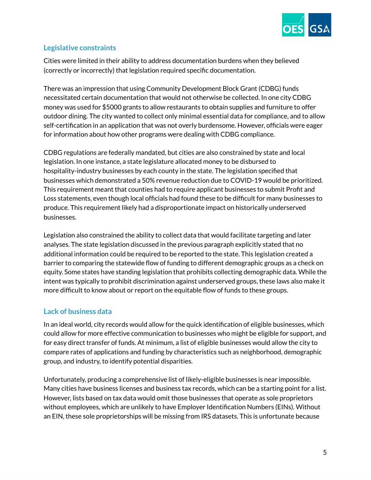

## **Legislative constraints**

Cities were limited in their ability to address documentation burdens when they believed (correctly or incorrectly) that legislation required specific documentation.

There was an impression that using Community Development Block Grant (CDBG) funds necessitated certain documentation that would not otherwise be collected. In one city CDBG money was used for \$5000 grants to allow restaurants to obtain supplies and furniture to offer outdoor dining. The city wanted to collect only minimal essential data for compliance, and to allow self-certification in an application that was not overly burdensome. However, officials were eager for information about how other programs were dealing with CDBG compliance.

CDBG regulations are federally mandated, but cities are also constrained by state and local legislation. In one instance, a state legislature allocated money to be disbursed to hospitality-industry businesses by each county in the state. The legislation specified that businesses which demonstrated a 50% revenue reduction due to COVID-19 would be prioritized. This requirement meant that counties had to require applicant businesses to submit Profit and Loss statements, even though local officials had found these to be difficult for many businesses to produce. This requirement likely had a disproportionate impact on historically underserved businesses.

Legislation also constrained the ability to collect data that would facilitate targeting and later analyses. The state legislation discussed in the previous paragraph explicitly stated that no additional information could be required to be reported to the state. This legislation created a barrier to comparing the statewide flow of funding to different demographic groups as a check on equity. Some states have standing legislation that prohibits collecting demographic data. While the intent was typically to prohibit discrimination against underserved groups, these laws also make it more difficult to know about or report on the equitable flow of funds to these groups.

# **Lack of business data**

In an ideal world, city records would allow for the quick identification of eligible businesses, which could allow for more effective communication to businesses who might be eligible for support, and for easy direct transfer of funds. At minimum, a list of eligible businesses would allow the city to compare rates of applications and funding by characteristics such as neighborhood, demographic group, and industry, to identify potential disparities.

Unfortunately, producing a comprehensive list of likely-eligible businesses is near impossible. Many cities have business licenses and business tax records, which can be a starting point for a list. However, lists based on tax data would omit those businesses that operate as sole proprietors without employees, which are unlikely to have Employer Identification Numbers (EINs). Without an EIN, these sole proprietorships will be missing from IRS datasets. This is unfortunate because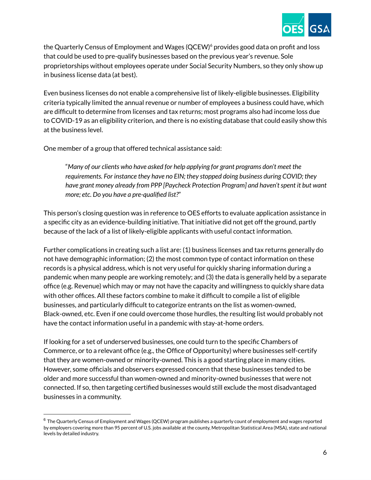

the Quarterly Census of Employment and Wages (QCEW) <sup>6</sup> provides good data on profit and loss that could be used to pre-qualify businesses based on the previous year's revenue. Sole proprietorships without employees operate under Social Security Numbers, so they only show up in business license data (at best).

Even business licenses do not enable a comprehensive list of likely-eligible businesses. Eligibility criteria typically limited the annual revenue or number of employees a business could have, which are difficult to determine from licenses and tax returns; most programs also had income loss due to COVID-19 as an eligibility criterion, and there is no existing database that could easily show this at the business level.

One member of a group that offered technical assistance said:

"*Many of our clients who have asked for help applying for grant programs don't meet the requirements. For instance they have no EIN; they stopped doing business during COVID; they have grant money already from PPP [Paycheck Protection Program] and haven'tspent it but want more; etc. Do you have a pre-qualified list?*"

This person's closing question was in reference to OES efforts to evaluate application assistance in a specific city as an evidence-building initiative. That initiative did not get off the ground, partly because of the lack of a list of likely-eligible applicants with useful contact information.

Further complications in creating such a list are: (1) business licenses and tax returns generally do not have demographic information; (2) the most common type of contact information on these records is a physical address, which is not very useful for quickly sharing information during a pandemic when many people are working remotely; and (3) the data is generally held by a separate office (e.g. Revenue) which may or may not have the capacity and willingness to quickly share data with other offices. All these factors combine to make it difficult to compile a list of eligible businesses, and particularly difficult to categorize entrants on the list as women-owned, Black-owned, etc. Even if one could overcome those hurdles, the resulting list would probably not have the contact information useful in a pandemic with stay-at-home orders.

If looking for a set of underserved businesses, one could turn to the specific Chambers of Commerce, or to a relevant office (e.g., the Office of Opportunity) where businesses self-certify that they are women-owned or minority-owned. This is a good starting place in many cities. However, some officials and observers expressed concern that these businesses tended to be older and more successful than women-owned and minority-owned businesses that were not connected. If so, then targeting certified businesses would still exclude the most disadvantaged businesses in a community.

 $6$  The Quarterly Census of Employment and Wages (QCEW) program publishes a quarterly count of employment and wages reported by employers covering more than 95 percent of U.S. jobs available at the county, Metropolitan Statistical Area (MSA), state and national levels by detailed industry.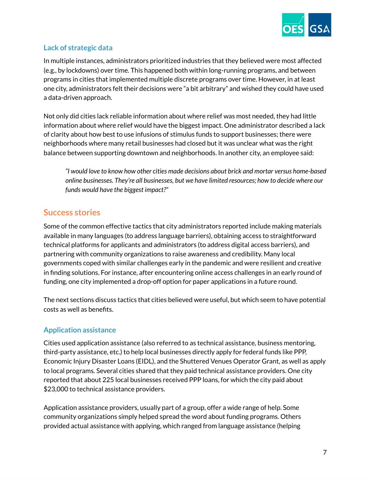

# **Lack of strategic data**

In multiple instances, administrators prioritized industries that they believed were most affected (e.g., by lockdowns) over time. This happened both within long-running programs, and between programs in cities that implemented multiple discrete programs over time. However, in at least one city, administrators felt their decisions were "a bit arbitrary" and wished they could have used a data-driven approach.

Not only did cities lack reliable information about where relief was most needed, they had little information about where relief would have the biggest impact. One administrator described a lack of clarity about how best to use infusions of stimulus funds to support businesses; there were neighborhoods where many retail businesses had closed but it was unclear what was the right balance between supporting downtown and neighborhoods. In another city, an employee said:

*"I would love to know how other cities made decisions about brick and mortar versus home-based online businesses. They're all businesses, but we have limited resources; how to decide where our funds would have the biggest impact?"*

# **Success stories**

Some of the common effective tactics that city administrators reported include making materials available in many languages (to address language barriers), obtaining access to straightforward technical platforms for applicants and administrators (to address digital access barriers), and partnering with community organizations to raise awareness and credibility. Many local governments coped with similar challenges early in the pandemic and were resilient and creative in finding solutions. For instance, after encountering online access challenges in an early round of funding, one city implemented a drop-off option for paper applications in a future round.

The next sections discuss tactics that cities believed were useful, but which seem to have potential costs as well as benefits.

# **Application assistance**

Cities used application assistance (also referred to as technical assistance, business mentoring, third-party assistance, etc.) to help local businesses directly apply for federal funds like PPP, Economic Injury Disaster Loans (EIDL), and the Shuttered Venues Operator Grant, as well as apply to local programs. Several cities shared that they paid technical assistance providers. One city reported that about 225 local businesses received PPP loans, for which the city paid about \$23,000 to technical assistance providers.

Application assistance providers, usually part of a group, offer a wide range of help. Some community organizations simply helped spread the word about funding programs. Others provided actual assistance with applying, which ranged from language assistance (helping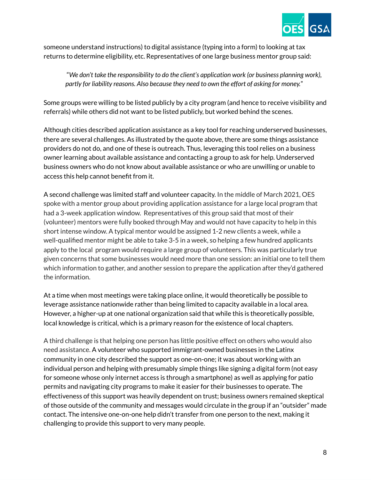

someone understand instructions) to digital assistance (typing into a form) to looking at tax returns to determine eligibility, etc. Representatives of one large business mentor group said:

"*We don't take the responsibility to do the client's application work (or business planning work), partly for liability reasons. Also because they need to own the effort of asking for money.*"

Some groups were willing to be listed publicly by a city program (and hence to receive visibility and referrals) while others did not want to be listed publicly, but worked behind the scenes.

Although cities described application assistance as a key tool for reaching underserved businesses, there are several challenges. As illustrated by the quote above, there are some things assistance providers do not do, and one of these is outreach. Thus, leveraging this tool relies on a business owner learning about available assistance and contacting a group to ask for help. Underserved business owners who do not know about available assistance or who are unwilling or unable to access this help cannot benefit from it.

A second challenge was limited staff and volunteer capacity. In the middle of March 2021, OES spoke with a mentor group about providing application assistance for a large local program that had a 3-week application window. Representatives of this group said that most of their (volunteer) mentors were fully booked through May and would not have capacity to help in this short intense window. A typical mentor would be assigned 1-2 new clients a week, while a well-qualified mentor might be able to take 3-5 in a week, so helping a few hundred applicants apply to the local program would require a large group of volunteers. This was particularly true given concerns that some businesses would need more than one session: an initial one to tell them which information to gather, and another session to prepare the application after they'd gathered the information.

At a time when most meetings were taking place online, it would theoretically be possible to leverage assistance nationwide rather than being limited to capacity available in a local area. However, a higher-up at one national organization said that while this is theoretically possible, local knowledge is critical, which is a primary reason for the existence of local chapters.

A third challenge is that helping one person has little positive effect on others who would also need assistance. A volunteer who supported immigrant-owned businesses in the Latinx community in one city described the support as one-on-one; it was about working with an individual person and helping with presumably simple things like signing a digital form (not easy for someone whose only internet access is through a smartphone) as well as applying for patio permits and navigating city programs to make it easier for their businesses to operate. The effectiveness of this support was heavily dependent on trust; business owners remained skeptical of those outside of the community and messages would circulate in the group if an "outsider" made contact. The intensive one-on-one help didn't transfer from one person to the next, making it challenging to provide this support to very many people.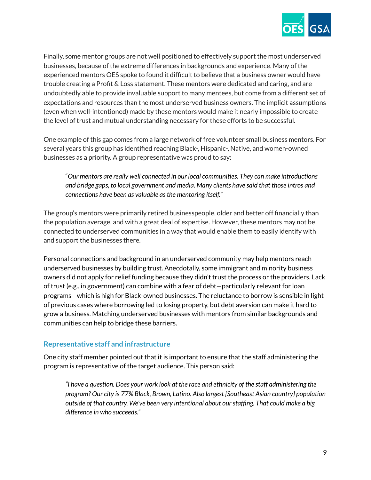

Finally, some mentor groups are not well positioned to effectively support the most underserved businesses, because of the extreme differences in backgrounds and experience. Many of the experienced mentors OES spoke to found it difficult to believe that a business owner would have trouble creating a Profit & Loss statement. These mentors were dedicated and caring, and are undoubtedly able to provide invaluable support to many mentees, but come from a different set of expectations and resources than the most underserved business owners. The implicit assumptions (even when well-intentioned) made by these mentors would make it nearly impossible to create the level of trust and mutual understanding necessary for these efforts to be successful.

One example of this gap comes from a large network of free volunteer small business mentors. For several years this group has identified reaching Black-, Hispanic-, Native, and women-owned businesses as a priority. A group representative was proud to say:

"*Our mentors are really well connected in our local communities. They can make introductions and bridge gaps, to local government and media. Many clients have said that those intros and connections have been as valuable asthe mentoring itself.*"

The group's mentors were primarily retired businesspeople, older and better off financially than the population average, and with a great deal of expertise. However, these mentors may not be connected to underserved communities in a way that would enable them to easily identify with and support the businesses there.

Personal connections and background in an underserved community may help mentors reach underserved businesses by building trust. Anecdotally, some immigrant and minority business owners did not apply for relief funding because they didn't trust the process or the providers. Lack of trust (e.g., in government) can combine with a fear of debt—particularly relevant for loan programs—which is high for Black-owned businesses. The reluctance to borrow is sensible in light of previous cases where borrowing led to losing property, but debt aversion can make it hard to grow a business. Matching underserved businesses with mentors from similar backgrounds and communities can help to bridge these barriers.

#### **Representative staff and infrastructure**

One city staff member pointed out that it is important to ensure that the staff administering the program is representative of the target audience. This person said:

*"I have a question. Does your work look at the race and ethnicity of the staff administering the program? Our city is 77% Black, Brown, Latino. Also largest [Southeast Asian country] population outside of that country. We've been very intentional about ourstaffing. That could make a big difference in who succeeds."*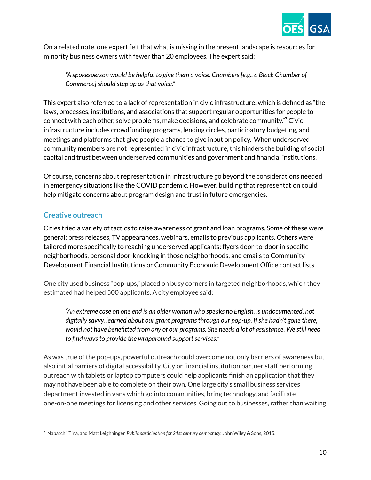

On a related note, one expert felt that what is missing in the present landscape is resources for minority business owners with fewer than 20 employees. The expert said:

*"A spokesperson would be helpful to give them a voice. Chambers[e.g., a Black Chamber of Commerce]should step up asthat voice."*

This expert also referred to a lack of representation in civic infrastructure, which is defined as "the laws, processes, institutions, and associations that support regular opportunities for people to connect with each other, solve problems, make decisions, and celebrate community." <sup>7</sup> Civic infrastructure includes crowdfunding programs, lending circles, participatory budgeting, and meetings and platforms that give people a chance to give input on policy. When underserved community members are not represented in civic infrastructure, this hinders the building of social capital and trust between underserved communities and government and financial institutions.

Of course, concerns about representation in infrastructure go beyond the considerations needed in emergency situations like the COVID pandemic. However, building that representation could help mitigate concerns about program design and trust in future emergencies.

# **Creative outreach**

Cities tried a variety of tactics to raise awareness of grant and loan programs. Some of these were general: press releases, TV appearances, webinars, emails to previous applicants. Others were tailored more specifically to reaching underserved applicants: flyers door-to-door in specific neighborhoods, personal door-knocking in those neighborhoods, and emails to Community Development Financial Institutions or Community Economic Development Office contact lists.

One city used business "pop-ups," placed on busy corners in targeted neighborhoods, which they estimated had helped 500 applicants. A city employee said:

*"An extreme case on one end is an older woman who speaks no English, is undocumented, not digitally savvy, learned about our grant programsthrough our pop-up. Ifshe hadn't gone there, would not have benefitted from any of our programs. She needs a lot of assistance. We still need to* find ways to provide the wraparound support services."

As was true of the pop-ups, powerful outreach could overcome not only barriers of awareness but also initial barriers of digital accessibility. City or financial institution partner staff performing outreach with tablets or laptop computers could help applicants finish an application that they may not have been able to complete on their own. One large city's small business services department invested in vans which go into communities, bring technology, and facilitate one-on-one meetings for licensing and other services. Going out to businesses, rather than waiting

<sup>7</sup> Nabatchi, Tina, and Matt Leighninger. *Public participation for 21st century democracy*. John Wiley & Sons, 2015.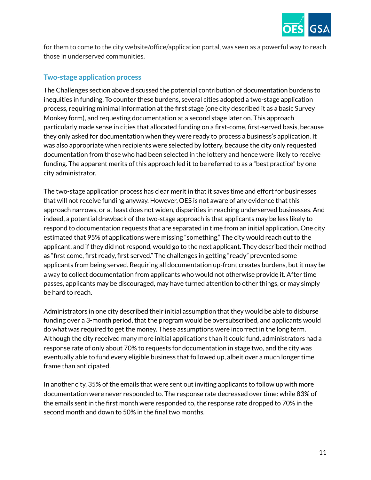

for them to come to the city website/office/application portal, was seen as a powerful way to reach those in underserved communities.

#### **Two-stage application process**

The Challenges section above discussed the potential contribution of documentation burdens to inequities in funding. To counter these burdens, several cities adopted a two-stage application process, requiring minimal information at the first stage (one city described it as a basic Survey Monkey form), and requesting documentation at a second stage later on. This approach particularly made sense in cities that allocated funding on a first-come, first-served basis, because they only asked for documentation when they were ready to process a business's application. It was also appropriate when recipients were selected by lottery, because the city only requested documentation from those who had been selected in the lottery and hence were likely to receive funding. The apparent merits of this approach led it to be referred to as a "best practice" by one city administrator.

The two-stage application process has clear merit in that it saves time and effort for businesses that will not receive funding anyway. However, OES is not aware of any evidence that this approach narrows, or at least does not widen, disparities in reaching underserved businesses. And indeed, a potential drawback of the two-stage approach is that applicants may be less likely to respond to documentation requests that are separated in time from an initial application. One city estimated that 95% of applications were missing "something." The city would reach out to the applicant, and if they did not respond, would go to the next applicant. They described their method as "first come, first ready, first served." The challenges in getting "ready" prevented some applicants from being served. Requiring all documentation up-front creates burdens, but it may be a way to collect documentation from applicants who would not otherwise provide it. After time passes, applicants may be discouraged, may have turned attention to other things, or may simply be hard to reach.

Administrators in one city described their initial assumption that they would be able to disburse funding over a 3-month period, that the program would be oversubscribed, and applicants would do what was required to get the money. These assumptions were incorrect in the long term. Although the city received many more initial applications than it could fund, administrators had a response rate of only about 70% to requests for documentation in stage two, and the city was eventually able to fund every eligible business that followed up, albeit over a much longer time frame than anticipated.

In another city, 35% of the emails that were sent out inviting applicants to follow up with more documentation were never responded to. The response rate decreased over time: while 83% of the emails sent in the first month were responded to, the response rate dropped to 70% in the second month and down to 50% in the final two months.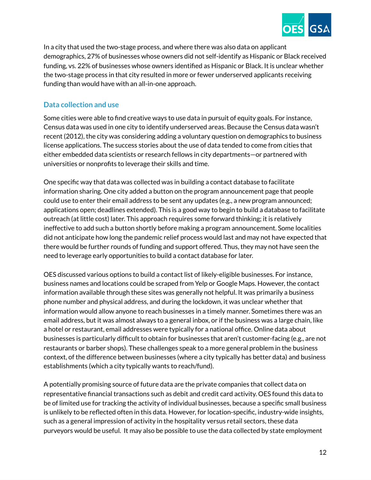

In a city that used the two-stage process, and where there was also data on applicant demographics, 27% of businesses whose owners did not self-identify as Hispanic or Black received funding, vs. 22% of businesses whose owners identified as Hispanic or Black. It is unclear whether the two-stage process in that city resulted in more or fewer underserved applicants receiving funding than would have with an all-in-one approach.

## **Data collection and use**

Some cities were able to find creative ways to use data in pursuit of equity goals. For instance, Census data was used in one city to identify underserved areas. Because the Census data wasn't recent (2012), the city was considering adding a voluntary question on demographics to business license applications. The success stories about the use of data tended to come from cities that either embedded data scientists or research fellows in city departments—or partnered with universities or nonprofits to leverage their skills and time.

One specific way that data was collected was in building a contact database to facilitate information sharing. One city added a button on the program announcement page that people could use to enter their email address to be sent any updates (e.g., a new program announced; applications open; deadlines extended). This is a good way to begin to build a database to facilitate outreach (at little cost) later. This approach requires some forward thinking; it is relatively ineffective to add such a button shortly before making a program announcement. Some localities did not anticipate how long the pandemic relief process would last and may not have expected that there would be further rounds of funding and support offered. Thus, they may not have seen the need to leverage early opportunities to build a contact database for later.

OES discussed various options to build a contact list of likely-eligible businesses. For instance, business names and locations could be scraped from Yelp or Google Maps. However, the contact information available through these sites was generally not helpful. It was primarily a business phone number and physical address, and during the lockdown, it was unclear whether that information would allow anyone to reach businesses in a timely manner. Sometimes there was an email address, but it was almost always to a general inbox, or if the business was a large chain, like a hotel or restaurant, email addresses were typically for a national office. Online data about businesses is particularly difficult to obtain for businesses that aren't customer-facing (e.g., are not restaurants or barber shops). These challenges speak to a more general problem in the business context, of the difference between businesses (where a city typically has better data) and business establishments (which a city typically wants to reach/fund).

A potentially promising source of future data are the private companies that collect data on representative financial transactions such as debit and credit card activity. OES found this data to be of limited use for tracking the activity of individual businesses, because a specific small business is unlikely to be reflected often in this data. However, for location-specific, industry-wide insights, such as a general impression of activity in the hospitality versus retail sectors, these data purveyors would be useful. It may also be possible to use the data collected by state employment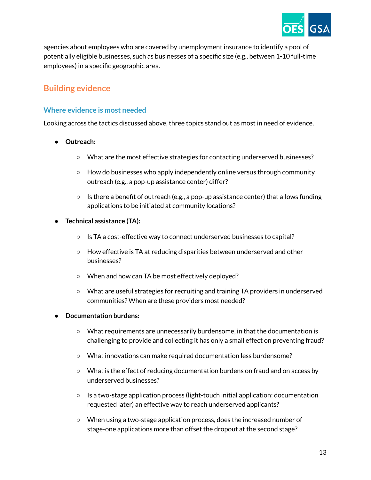

agencies about employees who are covered by unemployment insurance to identify a pool of potentially eligible businesses, such as businesses of a specific size (e.g., between 1-10 full-time employees) in a specific geographic area.

# **Building evidence**

## **Where evidence is most needed**

Looking across the tactics discussed above, three topics stand out as most in need of evidence.

- **Outreach:**
	- What are the most effective strategies for contacting underserved businesses?
	- How do businesses who apply independently online versus through community outreach (e.g., a pop-up assistance center) differ?
	- $\circ$  Is there a benefit of outreach (e.g., a pop-up assistance center) that allows funding applications to be initiated at community locations?
- **Technical assistance (TA):**
	- Is TA a cost-effective way to connect underserved businesses to capital?
	- How effective is TA at reducing disparities between underserved and other businesses?
	- When and how can TA be most effectively deployed?
	- What are useful strategies for recruiting and training TA providers in underserved communities? When are these providers most needed?

#### ● **Documentation burdens:**

- What requirements are unnecessarily burdensome, in that the documentation is challenging to provide and collecting it has only a small effect on preventing fraud?
- What innovations can make required documentation less burdensome?
- What is the effect of reducing documentation burdens on fraud and on access by underserved businesses?
- $\circ$  Is a two-stage application process (light-touch initial application; documentation requested later) an effective way to reach underserved applicants?
- When using a two-stage application process, does the increased number of stage-one applications more than offset the dropout at the second stage?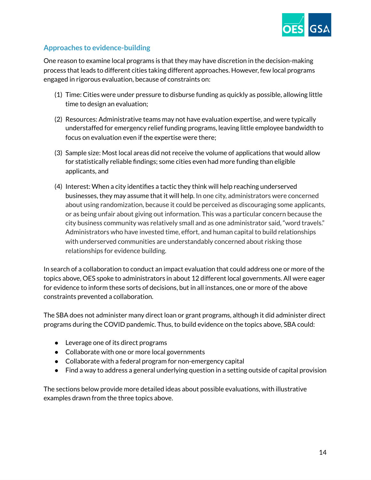

# **Approaches to evidence-building**

One reason to examine local programs is that they may have discretion in the decision-making process that leads to different cities taking different approaches. However, few local programs engaged in rigorous evaluation, because of constraints on:

- (1) Time: Cities were under pressure to disburse funding as quickly as possible, allowing little time to design an evaluation;
- (2) Resources: Administrative teams may not have evaluation expertise, and were typically understaffed for emergency relief funding programs, leaving little employee bandwidth to focus on evaluation even if the expertise were there;
- (3) Sample size: Most local areas did not receive the volume of applications that would allow for statistically reliable findings; some cities even had more funding than eligible applicants, and
- (4) Interest: When a city identifies a tactic they think will help reaching underserved businesses, they may assume that it will help. In one city, administrators were concerned about using randomization, because it could be perceived as discouraging some applicants, or as being unfair about giving out information. This was a particular concern because the city business community was relatively small and as one administrator said, "word travels." Administrators who have invested time, effort, and human capital to build relationships with underserved communities are understandably concerned about risking those relationships for evidence building.

In search of a collaboration to conduct an impact evaluation that could address one or more of the topics above, OES spoke to administrators in about 12 different local governments. All were eager for evidence to inform these sorts of decisions, but in all instances, one or more of the above constraints prevented a collaboration.

The SBA does not administer many direct loan or grant programs, although it did administer direct programs during the COVID pandemic. Thus, to build evidence on the topics above, SBA could:

- Leverage one of its direct programs
- Collaborate with one or more local governments
- Collaborate with a federal program for non-emergency capital
- Find a way to address a general underlying question in a setting outside of capital provision

The sections below provide more detailed ideas about possible evaluations, with illustrative examples drawn from the three topics above.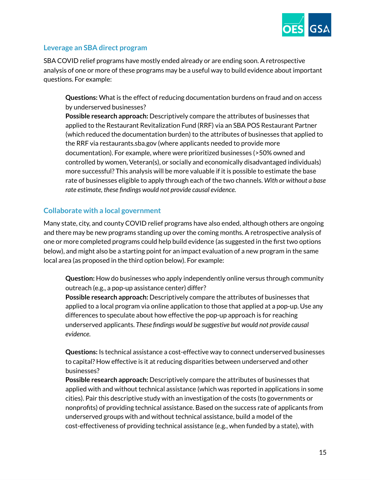

#### **Leverage an SBA direct program**

SBA COVID relief programs have mostly ended already or are ending soon. A retrospective analysis of one or more of these programs may be a useful way to build evidence about important questions. For example:

**Questions:** What is the effect of reducing documentation burdens on fraud and on access by underserved businesses?

**Possible research approach:** Descriptively compare the attributes of businesses that applied to the Restaurant Revitalization Fund (RRF) via an SBA POS Restaurant Partner (which reduced the documentation burden) to the attributes of businesses that applied to the RRF via restaurants.sba.gov (where applicants needed to provide more documentation). For example, where were prioritized businesses (>50% owned and controlled by women, Veteran(s), or socially and economically disadvantaged individuals) more successful? This analysis will be more valuable if it is possible to estimate the base rate of businesses eligible to apply through each of the two channels. *With or without a base rate estimate, these findings would not provide causal evidence.*

#### **Collaborate with a local government**

Many state, city, and county COVID relief programs have also ended, although others are ongoing and there may be new programs standing up over the coming months. A retrospective analysis of one or more completed programs could help build evidence (as suggested in the first two options below), and might also be a starting point for an impact evaluation of a new program in the same local area (as proposed in the third option below). For example:

**Question:** How do businesses who apply independently online versus through community outreach (e.g., a pop-up assistance center) differ?

**Possible research approach:** Descriptively compare the attributes of businesses that applied to a local program via online application to those that applied at a pop-up. Use any differences to speculate about how effective the pop-up approach is for reaching underserved applicants. *These findings would be suggestive but would not provide causal evidence.*

**Questions:** Is technical assistance a cost-effective way to connect underserved businesses to capital? How effective is it at reducing disparities between underserved and other businesses?

**Possible research approach:** Descriptively compare the attributes of businesses that applied with and without technical assistance (which was reported in applications in some cities). Pair this descriptive study with an investigation of the costs (to governments or nonprofits) of providing technical assistance. Based on the success rate of applicants from underserved groups with and without technical assistance, build a model of the cost-effectiveness of providing technical assistance (e.g., when funded by a state), with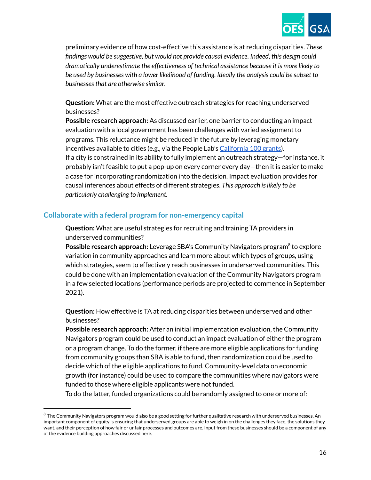

preliminary evidence of how cost-effective this assistance is at reducing disparities. *These findings would be suggestive, but would not provide causal evidence. Indeed, this design could dramatically underestimate the effectiveness of technical assistance because it is more likely to be used by businesses with a lower likelihood of funding. Ideally the analysis could be subset to businessesthat are otherwise similar.*

**Question:** What are the most effective outreach strategies for reaching underserved businesses?

**Possible research approach:** As discussed earlier, one barrier to conducting an impact evaluation with a local government has been challenges with varied assignment to programs. This reluctance might be reduced in the future by leveraging monetary incentives available to cities (e.g., via the People Lab's [California](https://california100.org/news/) 100 grants). If a city is constrained in its ability to fully implement an outreach strategy—for instance, it probably isn't feasible to put a pop-up on every corner every day—then it is easier to make a case for incorporating randomization into the decision. Impact evaluation provides for causal inferences about effects of different strategies. *This approach islikely to be particularly challenging to implement.*

#### **Collaborate with a federal program for non-emergency capital**

**Question:** What are useful strategies for recruiting and training TA providers in underserved communities?

Possible research approach: Leverage SBA's Community Navigators program<sup>8</sup> to explore variation in community approaches and learn more about which types of groups, using which strategies, seem to effectively reach businesses in underserved communities. This could be done with an implementation evaluation of the Community Navigators program in a few selected locations (performance periods are projected to commence in September 2021).

**Question:** How effective is TA at reducing disparities between underserved and other businesses?

**Possible research approach:** After an initial implementation evaluation, the Community Navigators program could be used to conduct an impact evaluation of either the program or a program change. To do the former, if there are more eligible applications for funding from community groups than SBA is able to fund, then randomization could be used to decide which of the eligible applications to fund. Community-level data on economic growth (for instance) could be used to compare the communities where navigators were funded to those where eligible applicants were not funded.

To do the latter, funded organizations could be randomly assigned to one or more of:

 $8$  The Community Navigators program would also be a good setting for further qualitative research with underserved businesses. An important component of equity is ensuring that underserved groups are able to weigh in on the challenges they face, the solutions they want, and their perception of how fair or unfair processes and outcomes are. Input from these businesses should be a component of any of the evidence building approaches discussed here.